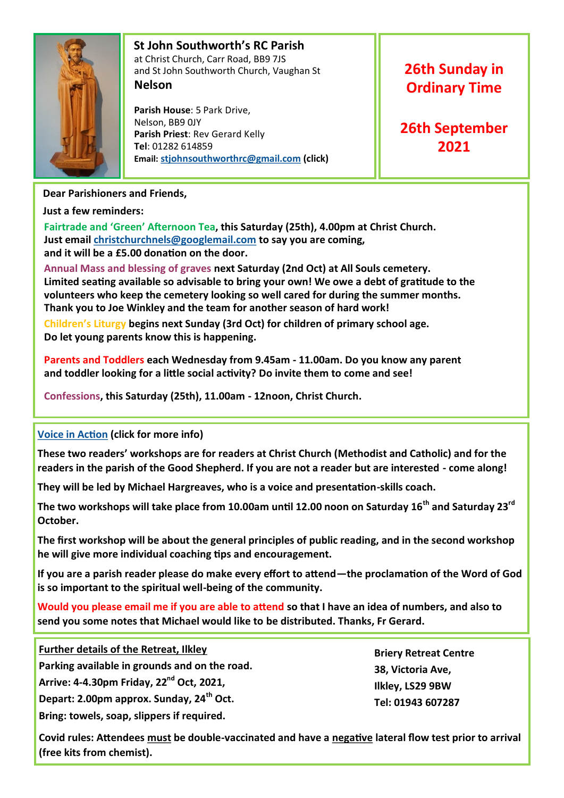

# **St John Southworth's RC Parish** at Christ Church, Carr Road, BB9 7JS and St John Southworth Church, Vaughan St **Nelson**

 **Parish House**: 5 Park Drive, Nelson, BB9 0JY **Parish Priest**: Rev Gerard Kelly **Tel**: 01282 614859 **Email: [stjohnsouthworthrc@gmail.com](mailto:stjohnsouthworth@gmail.com) (click)**

# **26th Sunday in Ordinary Time**

**26th September 2021**

# **Dear Parishioners and Friends,**

**Just a few reminders:**

**Fairtrade and 'Green' Afternoon Tea, this Saturday (25th), 4.00pm at Christ Church. Just email [christchurchnels@googlemail.com](mailto:christchurchnels@googlemail.com) to say you are coming, and it will be a £5.00 donation on the door.**

**Annual Mass and blessing of graves next Saturday (2nd Oct) at All Souls cemetery. Limited seating available so advisable to bring your own! We owe a debt of gratitude to the volunteers who keep the cemetery looking so well cared for during the summer months. Thank you to Joe Winkley and the team for another season of hard work!**

**Children's Liturgy begins next Sunday (3rd Oct) for children of primary school age. Do let young parents know this is happening.**

**Parents and Toddlers each Wednesday from 9.45am - 11.00am. Do you know any parent and toddler looking for a little social activity? Do invite them to come and see!**

**Confessions, this Saturday (25th), 11.00am - 12noon, Christ Church.**

# **[Voice in Action](http://www.voiceinaction.com/index.html) (click for more info)**

**These two readers' workshops are for readers at Christ Church (Methodist and Catholic) and for the readers in the parish of the Good Shepherd. If you are not a reader but are interested - come along!**

**They will be led by Michael Hargreaves, who is a voice and presentation-skills coach.**

**The two workshops will take place from 10.00am until 12.00 noon on Saturday 16th and Saturday 23rd October.** 

**The first workshop will be about the general principles of public reading, and in the second workshop he will give more individual coaching tips and encouragement.**

**If you are a parish reader please do make every effort to attend—the proclamation of the Word of God is so important to the spiritual well-being of the community.**

**Would you please email me if you are able to attend so that I have an idea of numbers, and also to send you some notes that Michael would like to be distributed. Thanks, Fr Gerard.**

**Further details of the Retreat, Ilkley**

**Parking available in grounds and on the road.**

**Arrive: 4-4.30pm Friday, 22nd Oct, 2021,**

**Depart: 2.00pm approx. Sunday, 24th Oct.**

**Bring: towels, soap, slippers if required.**

**Briery Retreat Centre 38, Victoria Ave, Ilkley, LS29 9BW Tel: 01943 607287**

**Covid rules: Attendees must be double-vaccinated and have a negative lateral flow test prior to arrival (free kits from chemist).**